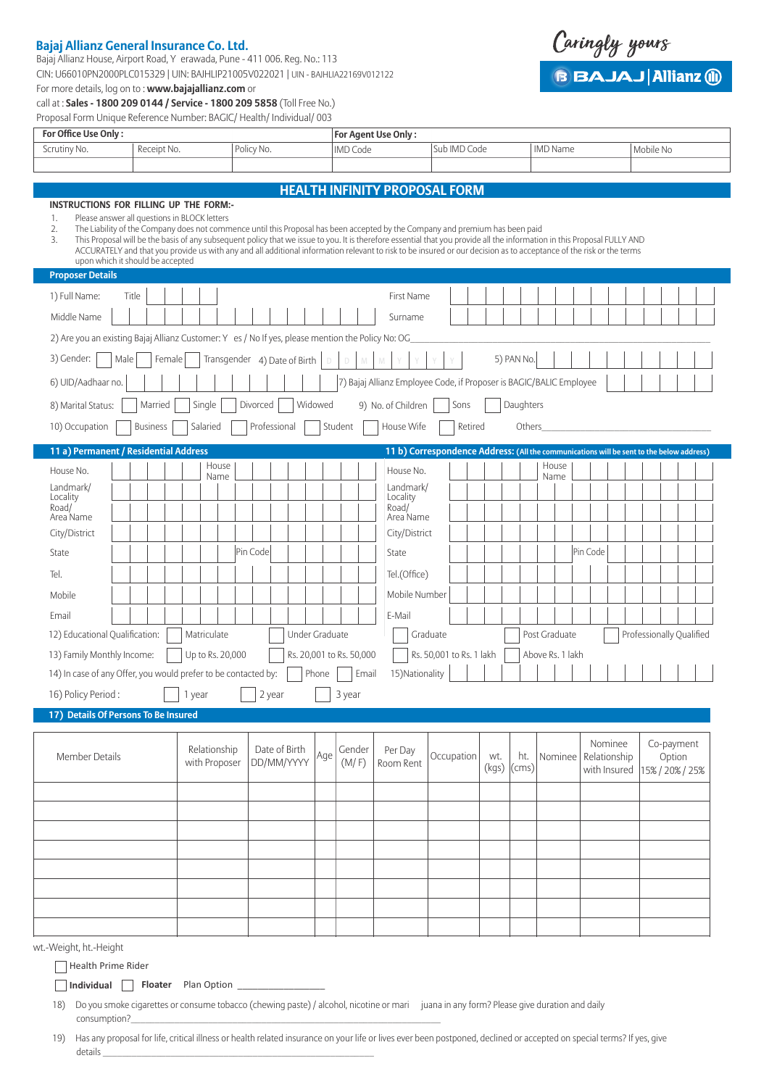## **Bajaj Allianz General Insurance Co. Ltd.**

Bajaj Allianz House, Airport Road, Y erawada, Pune - 411 006. Reg. No.: 113 CIN: U66010PN2000PLC015329 | UIN: BAJHLIP21005V022021 | UIN - BAJHLIA22169V012122 For more details, log on to : **www.bajajallianz.com** or

call at : **Sales - 1800 209 0144 / Service - 1800 209 5858** (Toll Free No.) Proposal Form Unique Reference Number: BAGIC/ Health/ Individual/ 003

|  | wu |  |
|--|----|--|
|--|----|--|

**BBAJAJ Allianz (ii)** 

| For Office Use Only:                                                                                                                                                                                                                                                                                                                                                                                                                                                                                                                                                                                                                                        |                 |        |             |                               |              |                             |                |         |                                   | For Agent Use Only:                                                                      |          |                          |     |                      |                  |         |          |                                         |  |                          |                      |  |
|-------------------------------------------------------------------------------------------------------------------------------------------------------------------------------------------------------------------------------------------------------------------------------------------------------------------------------------------------------------------------------------------------------------------------------------------------------------------------------------------------------------------------------------------------------------------------------------------------------------------------------------------------------------|-----------------|--------|-------------|-------------------------------|--------------|-----------------------------|----------------|---------|-----------------------------------|------------------------------------------------------------------------------------------|----------|--------------------------|-----|----------------------|------------------|---------|----------|-----------------------------------------|--|--------------------------|----------------------|--|
| Scrutiny No.                                                                                                                                                                                                                                                                                                                                                                                                                                                                                                                                                                                                                                                | Receipt No.     |        |             |                               | Policy No.   |                             |                |         | <b>IMD Code</b>                   |                                                                                          |          | Sub IMD Code             |     |                      | <b>IMD Name</b>  |         |          |                                         |  | Mobile No                |                      |  |
|                                                                                                                                                                                                                                                                                                                                                                                                                                                                                                                                                                                                                                                             |                 |        |             |                               |              |                             |                |         |                                   |                                                                                          |          |                          |     |                      |                  |         |          |                                         |  |                          |                      |  |
|                                                                                                                                                                                                                                                                                                                                                                                                                                                                                                                                                                                                                                                             |                 |        |             |                               |              |                             |                |         |                                   | <b>HEALTH INFINITY PROPOSAL FORM</b>                                                     |          |                          |     |                      |                  |         |          |                                         |  |                          |                      |  |
| INSTRUCTIONS FOR FILLING UP THE FORM:-<br>Please answer all questions in BLOCK letters<br>1.<br>2.<br>The Liability of the Company does not commence until this Proposal has been accepted by the Company and premium has been paid<br>This Proposal will be the basis of any subsequent policy that we issue to you. It is therefore essential that you provide all the information in this Proposal FULLY AND<br>3.<br>ACCURATELY and that you provide us with any and all additional information relevant to risk to be insured or our decision as to acceptance of the risk or the terms<br>upon which it should be accepted<br><b>Proposer Details</b> |                 |        |             |                               |              |                             |                |         |                                   |                                                                                          |          |                          |     |                      |                  |         |          |                                         |  |                          |                      |  |
|                                                                                                                                                                                                                                                                                                                                                                                                                                                                                                                                                                                                                                                             |                 |        |             |                               |              |                             |                |         |                                   |                                                                                          |          |                          |     |                      |                  |         |          |                                         |  |                          |                      |  |
| 1) Full Name:<br>Middle Name                                                                                                                                                                                                                                                                                                                                                                                                                                                                                                                                                                                                                                | Title           |        |             |                               |              |                             |                |         |                                   | First Name<br>Surname                                                                    |          |                          |     |                      |                  |         |          |                                         |  |                          |                      |  |
| 2) Are you an existing Bajaj Allianz Customer: Y es / No If yes, please mention the Policy No: OG                                                                                                                                                                                                                                                                                                                                                                                                                                                                                                                                                           |                 |        |             |                               |              |                             |                |         |                                   |                                                                                          |          |                          |     |                      |                  |         |          |                                         |  |                          |                      |  |
| 3) Gender:<br>Male                                                                                                                                                                                                                                                                                                                                                                                                                                                                                                                                                                                                                                          | Female          |        |             | Transgender 4) Date of Birth  |              |                             |                |         |                                   |                                                                                          |          |                          |     | 5) PAN No.           |                  |         |          |                                         |  |                          |                      |  |
| 6) UID/Aadhaar no.                                                                                                                                                                                                                                                                                                                                                                                                                                                                                                                                                                                                                                          |                 |        |             |                               |              |                             |                |         |                                   | 7) Bajaj Allianz Employee Code, if Proposer is BAGIC/BALIC Employee                      |          |                          |     |                      |                  |         |          |                                         |  |                          |                      |  |
| 8) Marital Status:                                                                                                                                                                                                                                                                                                                                                                                                                                                                                                                                                                                                                                          | Married         |        | Single      |                               | Divorced     |                             | Widowed        |         |                                   | 9) No. of Children                                                                       |          | Sons                     |     | Daughters            |                  |         |          |                                         |  |                          |                      |  |
| 10) Occupation                                                                                                                                                                                                                                                                                                                                                                                                                                                                                                                                                                                                                                              | <b>Business</b> |        | Salaried    |                               | Professional |                             |                | Student |                                   | House Wife                                                                               |          | Retired                  |     | Others               |                  |         |          |                                         |  |                          |                      |  |
| 11 a) Permanent / Residential Address                                                                                                                                                                                                                                                                                                                                                                                                                                                                                                                                                                                                                       |                 |        |             |                               |              |                             |                |         |                                   | 11 b) Correspondence Address: (All the communications will be sent to the below address) |          |                          |     |                      |                  |         |          |                                         |  |                          |                      |  |
| House No.                                                                                                                                                                                                                                                                                                                                                                                                                                                                                                                                                                                                                                                   |                 |        |             | House                         |              |                             |                |         |                                   | House No.                                                                                |          |                          |     |                      |                  | House   |          |                                         |  |                          |                      |  |
| Landmark/<br>Locality                                                                                                                                                                                                                                                                                                                                                                                                                                                                                                                                                                                                                                       |                 |        |             | Name                          |              |                             |                |         |                                   | Landmark/                                                                                |          |                          |     |                      |                  | Name    |          |                                         |  |                          |                      |  |
| Road/<br>Area Name                                                                                                                                                                                                                                                                                                                                                                                                                                                                                                                                                                                                                                          |                 |        |             |                               |              |                             |                |         |                                   | Locality<br>Road/<br>Area Name                                                           |          |                          |     |                      |                  |         |          |                                         |  |                          |                      |  |
| City/District                                                                                                                                                                                                                                                                                                                                                                                                                                                                                                                                                                                                                                               |                 |        |             |                               |              |                             |                |         |                                   | City/District                                                                            |          |                          |     |                      |                  |         |          |                                         |  |                          |                      |  |
| State                                                                                                                                                                                                                                                                                                                                                                                                                                                                                                                                                                                                                                                       |                 |        |             |                               | Pin Code     |                             |                |         |                                   | State                                                                                    |          |                          |     |                      |                  |         | Pin Code |                                         |  |                          |                      |  |
| Tel.                                                                                                                                                                                                                                                                                                                                                                                                                                                                                                                                                                                                                                                        |                 |        |             |                               |              |                             |                |         |                                   | Tel.(Office)                                                                             |          |                          |     |                      |                  |         |          |                                         |  |                          |                      |  |
| Mobile                                                                                                                                                                                                                                                                                                                                                                                                                                                                                                                                                                                                                                                      |                 |        |             |                               |              |                             |                |         |                                   | Mobile Number                                                                            |          |                          |     |                      |                  |         |          |                                         |  |                          |                      |  |
| Email                                                                                                                                                                                                                                                                                                                                                                                                                                                                                                                                                                                                                                                       |                 |        |             |                               |              |                             |                |         |                                   | E-Mail                                                                                   |          |                          |     |                      |                  |         |          |                                         |  |                          |                      |  |
| 12) Educational Qualification:                                                                                                                                                                                                                                                                                                                                                                                                                                                                                                                                                                                                                              |                 |        | Matriculate |                               |              |                             | Under Graduate |         |                                   |                                                                                          | Graduate |                          |     |                      | Post Graduate    |         |          |                                         |  | Professionally Qualified |                      |  |
| 13) Family Monthly Income:<br>14) In case of any Offer, you would prefer to be contacted by:                                                                                                                                                                                                                                                                                                                                                                                                                                                                                                                                                                |                 |        |             | Up to Rs. 20,000              |              |                             | Phone          |         | Rs. 20,001 to Rs. 50,000<br>Email | 15) Nationality                                                                          |          | Rs. 50,001 to Rs. 1 lakh |     |                      | Above Rs. 1 lakh |         |          |                                         |  |                          |                      |  |
| 16) Policy Period:                                                                                                                                                                                                                                                                                                                                                                                                                                                                                                                                                                                                                                          |                 | 1 year |             |                               | 2 year       |                             |                |         | 3 year                            |                                                                                          |          |                          |     |                      |                  |         |          |                                         |  |                          |                      |  |
| 17) Details Of Persons To Be Insured                                                                                                                                                                                                                                                                                                                                                                                                                                                                                                                                                                                                                        |                 |        |             |                               |              |                             |                |         |                                   |                                                                                          |          |                          |     |                      |                  |         |          |                                         |  |                          |                      |  |
| Member Details                                                                                                                                                                                                                                                                                                                                                                                                                                                                                                                                                                                                                                              |                 |        |             | Relationship<br>with Proposer |              | Date of Birth<br>DD/MM/YYYY | Age            |         | Gender<br>(M/F)                   | Per Day<br>Room Rent                                                                     |          | Occupation               | wt. | ht.<br>$(kgs)$ (cms) |                  | Nominee |          | Nominee<br>Relationship<br>with Insured |  | 15% / 20% / 25%          | Co-payment<br>Option |  |
|                                                                                                                                                                                                                                                                                                                                                                                                                                                                                                                                                                                                                                                             |                 |        |             |                               |              |                             |                |         |                                   |                                                                                          |          |                          |     |                      |                  |         |          |                                         |  |                          |                      |  |
|                                                                                                                                                                                                                                                                                                                                                                                                                                                                                                                                                                                                                                                             |                 |        |             |                               |              |                             |                |         |                                   |                                                                                          |          |                          |     |                      |                  |         |          |                                         |  |                          |                      |  |
|                                                                                                                                                                                                                                                                                                                                                                                                                                                                                                                                                                                                                                                             |                 |        |             |                               |              |                             |                |         |                                   |                                                                                          |          |                          |     |                      |                  |         |          |                                         |  |                          |                      |  |
|                                                                                                                                                                                                                                                                                                                                                                                                                                                                                                                                                                                                                                                             |                 |        |             |                               |              |                             |                |         |                                   |                                                                                          |          |                          |     |                      |                  |         |          |                                         |  |                          |                      |  |
|                                                                                                                                                                                                                                                                                                                                                                                                                                                                                                                                                                                                                                                             |                 |        |             |                               |              |                             |                |         |                                   |                                                                                          |          |                          |     |                      |                  |         |          |                                         |  |                          |                      |  |
|                                                                                                                                                                                                                                                                                                                                                                                                                                                                                                                                                                                                                                                             |                 |        |             |                               |              |                             |                |         |                                   |                                                                                          |          |                          |     |                      |                  |         |          |                                         |  |                          |                      |  |
|                                                                                                                                                                                                                                                                                                                                                                                                                                                                                                                                                                                                                                                             |                 |        |             |                               |              |                             |                |         |                                   |                                                                                          |          |                          |     |                      |                  |         |          |                                         |  |                          |                      |  |
| wt.-Weight, ht.-Height                                                                                                                                                                                                                                                                                                                                                                                                                                                                                                                                                                                                                                      |                 |        |             |                               |              |                             |                |         |                                   |                                                                                          |          |                          |     |                      |                  |         |          |                                         |  |                          |                      |  |
| Health Prime Rider                                                                                                                                                                                                                                                                                                                                                                                                                                                                                                                                                                                                                                          |                 |        |             |                               |              |                             |                |         |                                   |                                                                                          |          |                          |     |                      |                  |         |          |                                         |  |                          |                      |  |
| Do you smoke cigarettes or consume tobacco (chewing paste) / alcohol, nicotine or mari juana in any form? Please give duration and daily<br>18)                                                                                                                                                                                                                                                                                                                                                                                                                                                                                                             |                 |        |             |                               |              |                             |                |         |                                   |                                                                                          |          |                          |     |                      |                  |         |          |                                         |  |                          |                      |  |
| consumption?_                                                                                                                                                                                                                                                                                                                                                                                                                                                                                                                                                                                                                                               |                 |        |             |                               |              |                             |                |         |                                   |                                                                                          |          |                          |     |                      |                  |         |          |                                         |  |                          |                      |  |

19) Has any proposal for life, critical illness or health related insurance on your life or lives ever been postponed, declined or accepted on special terms? If yes, give details \_\_\_\_\_\_\_\_\_\_\_\_\_\_\_\_\_\_\_\_\_\_\_\_\_\_\_\_\_\_\_\_\_\_\_\_\_\_\_\_\_\_\_\_\_\_\_\_\_\_\_\_\_\_\_\_